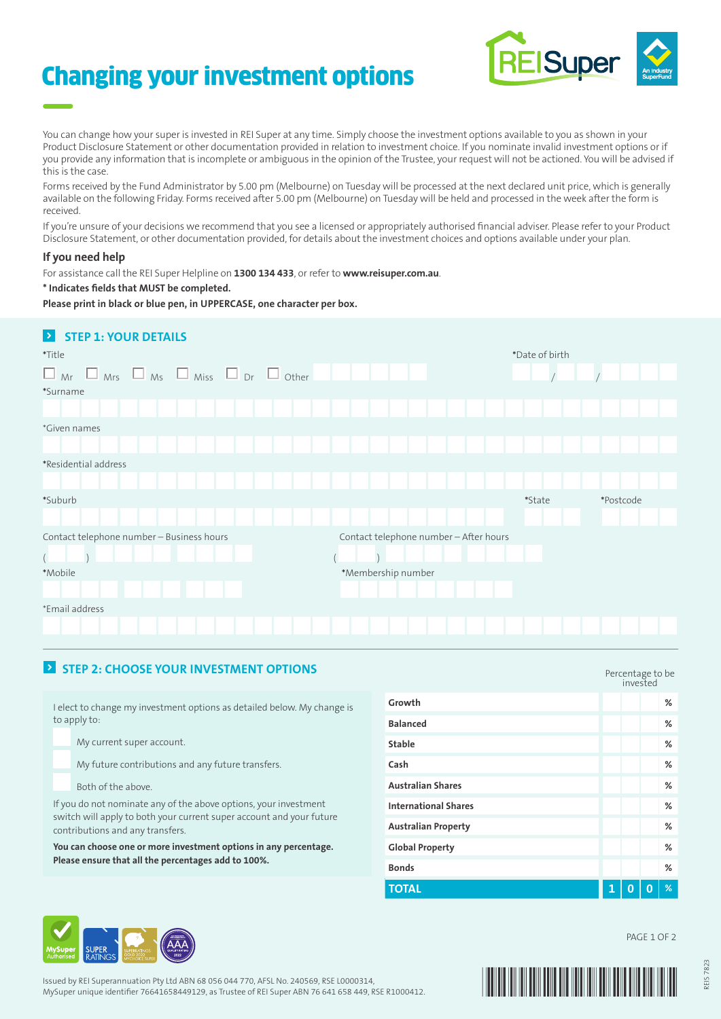# Changing your investment options



You can change how your super is invested in REI Super at any time. Simply choose the investment options available to you as shown in your Product Disclosure Statement or other documentation provided in relation to investment choice. If you nominate invalid investment options or if you provide any information that is incomplete or ambiguous in the opinion of the Trustee, your request will not be actioned. You will be advised if this is the case.

Forms received by the Fund Administrator by 5.00 pm (Melbourne) on Tuesday will be processed at the next declared unit price, which is generally available on the following Friday. Forms received after 5.00 pm (Melbourne) on Tuesday will be held and processed in the week after the form is received.

If you're unsure of your decisions we recommend that you see a licensed or appropriately authorised financial adviser. Please refer to your Product Disclosure Statement, or other documentation provided, for details about the investment choices and options available under your plan.

#### **If you need help**

For assistance call the REI Super Helpline on **1300 134 433**, or refer to **www.reisuper.com.au**.

**\* Indicates fields that MUST be completed.**

**Please print in black or blue pen, in UPPERCASE, one character per box.**

### **8** STEP 1: YOUR DETAILS

| *Title                                                               | *Date of birth                         |                     |  |  |
|----------------------------------------------------------------------|----------------------------------------|---------------------|--|--|
| $\Box$ Mrs $\Box$ Ms $\Box$ Miss $\Box$ Dr $\Box$ Other<br>$\Box$ Mr |                                        |                     |  |  |
| *Surname                                                             |                                        |                     |  |  |
|                                                                      |                                        |                     |  |  |
| *Given names                                                         |                                        |                     |  |  |
|                                                                      |                                        |                     |  |  |
| *Residential address                                                 |                                        |                     |  |  |
|                                                                      |                                        |                     |  |  |
| *Suburb                                                              |                                        | *State<br>*Postcode |  |  |
|                                                                      |                                        |                     |  |  |
| Contact telephone number - Business hours                            | Contact telephone number - After hours |                     |  |  |
|                                                                      |                                        |                     |  |  |
| *Mobile                                                              | *Membership number                     |                     |  |  |
|                                                                      |                                        |                     |  |  |
| *Email address                                                       |                                        |                     |  |  |
|                                                                      |                                        |                     |  |  |

### **EX** STEP 2: CHOOSE YOUR INVESTMENT OPTIONS

I elect to change my investment options as detailed below. My change is to apply to:

My current super account.

My future contributions and any future transfers.

Both of the above.

If you do not nominate any of the above options, your investment switch will apply to both your current super account and your future contributions and any transfers.

**You can choose one or more investment options in any percentage. Please ensure that all the percentages add to 100%.**

|                             | Percentage to be<br>invested |  |   |   |
|-----------------------------|------------------------------|--|---|---|
| Growth                      |                              |  |   | % |
| <b>Balanced</b>             |                              |  |   | % |
| <b>Stable</b>               |                              |  |   | % |
| Cash                        |                              |  |   | % |
| <b>Australian Shares</b>    |                              |  |   | % |
| <b>International Shares</b> |                              |  |   | % |
| <b>Australian Property</b>  |                              |  |   | % |
| <b>Global Property</b>      |                              |  |   | % |
| <b>Bonds</b>                |                              |  |   | % |
| <b>TOTAL</b>                | 1                            |  | 0 | % |



Issued by REI Superannuation Pty Ltd ABN 68 056 044 770, AFSL No. 240569, RSE L0000314, MySuper unique identifier 76641658449129, as Trustee of REI Super ABN 76 641 658 449, RSE R1000412.



PAGE 1 OF 2